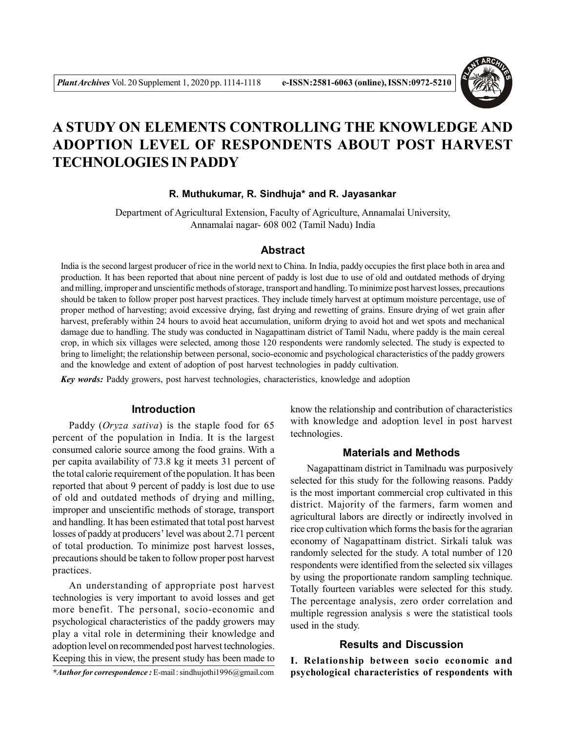

# **A STUDY ON ELEMENTS CONTROLLING THE KNOWLEDGE AND ADOPTION LEVEL OF RESPONDENTS ABOUT POST HARVEST TECHNOLOGIES IN PADDY**

# **R. Muthukumar, R. Sindhuja\* and R. Jayasankar**

Department of Agricultural Extension, Faculty of Agriculture, Annamalai University, Annamalai nagar- 608 002 (Tamil Nadu) India

#### **Abstract**

India is the second largest producer of rice in the world next to China. In India, paddy occupies the first place both in area and production. It has been reported that about nine percent of paddy is lost due to use of old and outdated methods of drying and milling, improper and unscientific methods of storage, transport and handling. To minimize post harvest losses, precautions should be taken to follow proper post harvest practices. They include timely harvest at optimum moisture percentage, use of proper method of harvesting; avoid excessive drying, fast drying and rewetting of grains. Ensure drying of wet grain after harvest, preferably within 24 hours to avoid heat accumulation, uniform drying to avoid hot and wet spots and mechanical damage due to handling. The study was conducted in Nagapattinam district of Tamil Nadu, where paddy is the main cereal crop, in which six villages were selected, among those 120 respondents were randomly selected. The study is expected to bring to limelight; the relationship between personal, socio-economic and psychological characteristics of the paddy growers and the knowledge and extent of adoption of post harvest technologies in paddy cultivation.

*Key words:* Paddy growers, post harvest technologies, characteristics, knowledge and adoption

# **Introduction**

Paddy (*Oryza sativa*) is the staple food for 65 percent of the population in India. It is the largest consumed calorie source among the food grains. With a per capita availability of 73.8 kg it meets 31 percent of the total calorie requirement of the population. It has been reported that about 9 percent of paddy is lost due to use of old and outdated methods of drying and milling, improper and unscientific methods of storage, transport and handling. It has been estimated that total post harvest losses of paddy at producers' level was about 2.71 percent of total production. To minimize post harvest losses, precautions should be taken to follow proper post harvest practices.

An understanding of appropriate post harvest technologies is very important to avoid losses and get more benefit. The personal, socio-economic and psychological characteristics of the paddy growers may play a vital role in determining their knowledge and adoption level on recommended post harvest technologies. Keeping this in view, the present study has been made to

know the relationship and contribution of characteristics with knowledge and adoption level in post harvest technologies.

## **Materials and Methods**

Nagapattinam district in Tamilnadu was purposively selected for this study for the following reasons. Paddy is the most important commercial crop cultivated in this district. Majority of the farmers, farm women and agricultural labors are directly or indirectly involved in rice crop cultivation which forms the basis for the agrarian economy of Nagapattinam district. Sirkali taluk was randomly selected for the study. A total number of 120 respondents were identified from the selected six villages by using the proportionate random sampling technique. Totally fourteen variables were selected for this study. The percentage analysis, zero order correlation and multiple regression analysis s were the statistical tools used in the study.

# **Results and Discussion**

**I. Relationship between socio economic and psychological characteristics of respondents with**

*<sup>\*</sup>Author for correspondence :* E-mail : sindhujothi1996@gmail.com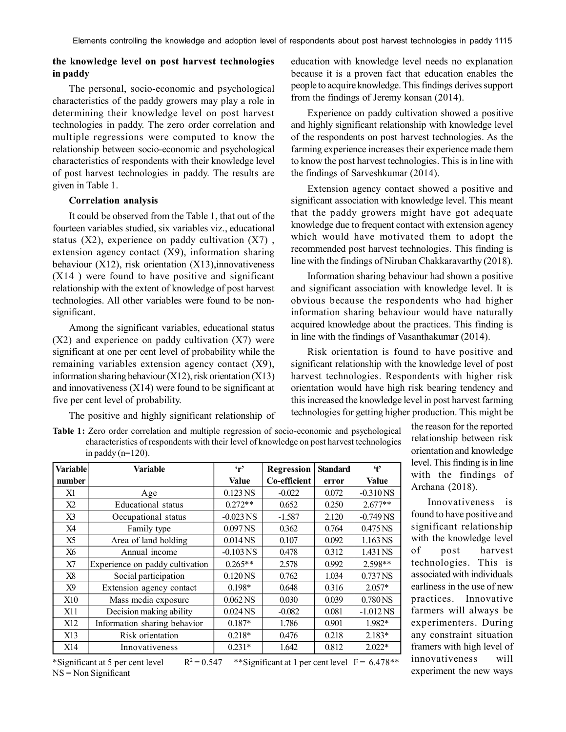# **the knowledge level on post harvest technologies in paddy**

The personal, socio-economic and psychological characteristics of the paddy growers may play a role in determining their knowledge level on post harvest technologies in paddy. The zero order correlation and multiple regressions were computed to know the relationship between socio-economic and psychological characteristics of respondents with their knowledge level of post harvest technologies in paddy. The results are given in Table 1.

#### **Correlation analysis**

It could be observed from the Table 1, that out of the fourteen variables studied, six variables viz., educational status  $(X2)$ , experience on paddy cultivation  $(X7)$ , extension agency contact (X9), information sharing behaviour (X12), risk orientation (X13), innovativeness (X14 ) were found to have positive and significant relationship with the extent of knowledge of post harvest technologies. All other variables were found to be nonsignificant.

Among the significant variables, educational status  $(X2)$  and experience on paddy cultivation  $(X7)$  were significant at one per cent level of probability while the remaining variables extension agency contact (X9), information sharing behaviour (X12), risk orientation (X13) and innovativeness (X14) were found to be significant at five per cent level of probability.

The positive and highly significant relationship of

education with knowledge level needs no explanation because it is a proven fact that education enables the people to acquire knowledge. This findings derives support from the findings of Jeremy konsan (2014).

Experience on paddy cultivation showed a positive and highly significant relationship with knowledge level of the respondents on post harvest technologies. As the farming experience increases their experience made them to know the post harvest technologies. This is in line with the findings of Sarveshkumar (2014).

Extension agency contact showed a positive and significant association with knowledge level. This meant that the paddy growers might have got adequate knowledge due to frequent contact with extension agency which would have motivated them to adopt the recommended post harvest technologies. This finding is line with the findings of Niruban Chakkaravarthy (2018).

Information sharing behaviour had shown a positive and significant association with knowledge level. It is obvious because the respondents who had higher information sharing behaviour would have naturally acquired knowledge about the practices. This finding is in line with the findings of Vasanthakumar (2014).

Risk orientation is found to have positive and significant relationship with the knowledge level of post harvest technologies. Respondents with higher risk orientation would have high risk bearing tendency and this increased the knowledge level in post harvest farming technologies for getting higher production. This might be

**Table 1:** Zero order correlation and multiple regression of socio-economic and psychological characteristics of respondents with their level of knowledge on post harvest technologies in paddy  $(n=120)$ .

| <b>Variable</b> | Variable                        | $\mathbf{r}$          | Regression   | <b>Standard</b> | $\ddot{\mathbf{t}}$ |
|-----------------|---------------------------------|-----------------------|--------------|-----------------|---------------------|
| number          |                                 | <b>Value</b>          | Co-efficient | error           | Value               |
| X1              | Age                             | $0.123$ NS            | $-0.022$     | 0.072           | $-0.310$ NS         |
| X <sub>2</sub>  | Educational status              | $0.272**$             | 0.652        | 0.250           | $2.677**$           |
| X3              | Occupational status             | $-0.023$ NS           | $-1.587$     | 2.120           | $-0.749$ NS         |
| X4              | Family type                     | 0.097 <sub>NS</sub>   | 0.362        | 0.764           | 0.475 NS            |
| X <sub>5</sub>  | Area of land holding            | $0.014$ <sub>NS</sub> | 0.107        | 0.092           | 1.163 NS            |
| X6              | Annual income                   | $-0.103$ NS           | 0.478        | 0.312           | 1.431 NS            |
| X7              | Experience on paddy cultivation | $0.265**$             | 2.578        | 0.992           | 2.598**             |
| X8              | Social participation            | 0.120 <sub>NS</sub>   | 0.762        | 1.034           | 0.737 NS            |
| X9              | Extension agency contact        | 0.198*                | 0.648        | 0.316           | $2.057*$            |
| <b>X10</b>      | Mass media exposure             | $0.062$ <sub>NS</sub> | 0.030        | 0.039           | 0.780NS             |
| X11             | Decision making ability         | $0.024$ <sub>NS</sub> | $-0.082$     | 0.081           | $-1.012$ NS         |
| X <sub>12</sub> | Information sharing behavior    | $0.187*$              | 1.786        | 0.901           | 1.982*              |
| X13             | Risk orientation                | $0.218*$              | 0.476        | 0.218           | $2.183*$            |
| X14             | Innovativeness                  | $0.231*$              | 1.642        | 0.812           | $2.022*$            |

\*Significant at 5 per cent level R  $2 = 0.547$  \*\*Significant at 1 per cent level F = 6.478\*\* NS = Non Significant

the reason for the reported relationship between risk orientation and knowledge level. This finding is in line with the findings of Archana (2018).

Innovativeness is found to have positive and significant relationship with the knowledge level of post harvest technologies. This is associated with individuals earliness in the use of new practices. Innovative farmers will always be experimenters. During any constraint situation framers with high level of innovativeness will experiment the new ways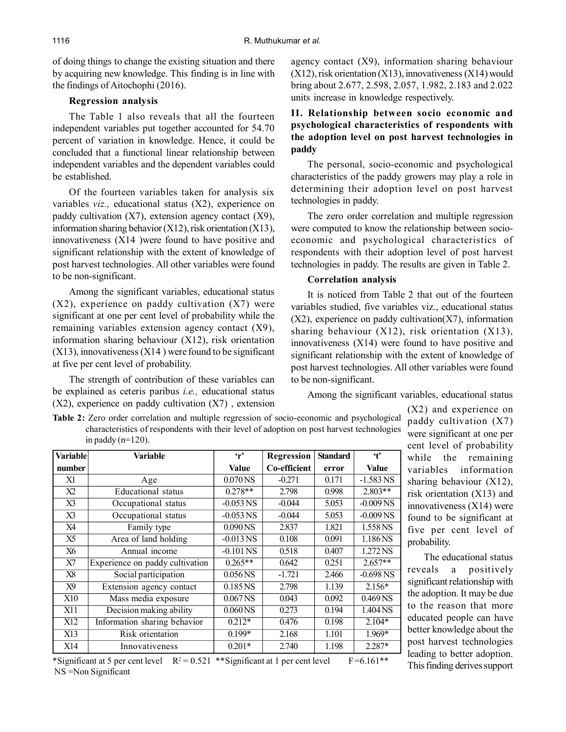of doing things to change the existing situation and there by acquiring new knowledge. This finding is in line with the findings of Aitochophi (2016).

# **Regression analysis**

The Table 1 also reveals that all the fourteen independent variables put together accounted for 54.70 percent of variation in knowledge. Hence, it could be concluded that a functional linear relationship between independent variables and the dependent variables could be established.

Of the fourteen variables taken for analysis six variables *viz.,* educational status (X2), experience on paddy cultivation  $(X7)$ , extension agency contact  $(X9)$ , information sharing behavior (X12), risk orientation (X13), innovativeness (X14 )were found to have positive and significant relationship with the extent of knowledge of post harvest technologies. All other variables were found to be non-significant.

Among the significant variables, educational status (X2), experience on paddy cultivation (X7) were significant at one per cent level of probability while the remaining variables extension agency contact (X9), information sharing behaviour (X12), risk orientation  $(X13)$ , innovativeness  $(X14)$  were found to be significant at five per cent level of probability.

The strength of contribution of these variables can be explained as ceteris paribus *i.e.,* educational status  $(X2)$ , experience on paddy cultivation  $(X7)$ , extension agency contact (X9), information sharing behaviour  $(X12)$ , risk orientation  $(X13)$ , innovativeness  $(X14)$  would bring about 2.677, 2.598, 2.057, 1.982, 2.183 and 2.022 units increase in knowledge respectively.

# **II. Relationship between socio economic and psychological characteristics of respondents with the adoption level on post harvest technologies in paddy**

The personal, socio-economic and psychological characteristics of the paddy growers may play a role in determining their adoption level on post harvest technologies in paddy.

The zero order correlation and multiple regression were computed to know the relationship between socioeconomic and psychological characteristics of respondents with their adoption level of post harvest technologies in paddy. The results are given in Table 2.

# **Correlation analysis**

It is noticed from Table 2 that out of the fourteen variables studied, five variables viz., educational status  $(X2)$ , experience on paddy cultivation $(X7)$ , information sharing behaviour (X12), risk orientation (X13), innovativeness (X14) were found to have positive and significant relationship with the extent of knowledge of post harvest technologies. All other variables were found to be non-significant.

Among the significant variables, educational status

**Table 2:** Zero order correlation and multiple regression of socio-economic and psychological characteristics of respondents with their level of adoption on post harvest technologies in paddy  $(n=120)$ .

| Variable | Variable                        | $\mathbf{r}$          | <b>Regression</b> | <b>Standard</b> | $\ddot{t}$          |
|----------|---------------------------------|-----------------------|-------------------|-----------------|---------------------|
| number   |                                 | <b>Value</b>          | Co-efficient      | error           | Value               |
| X1       | Age                             | 0.070 <sub>NS</sub>   | $-0.271$          | 0.171           | $-1.583$ NS         |
| X2       | Educational status              | $0.278**$             | 2.798             | 0.998           | $2.803**$           |
| X3       | Occupational status             | $-0.053$ NS           | $-0.044$          | 5.053           | $-0.009$ NS         |
| X3       | Occupational status             | $-0.053$ NS           | $-0.044$          | 5.053           | $-0.009$ NS         |
| X4       | Family type                     | 0.090 <sub>NS</sub>   | 2.837             | 1.821           | 1.558 NS            |
| X5       | Area of land holding            | $-0.013$ NS           | 0.108             | 0.091           | 1.186NS             |
| X6       | Annual income                   | $-0.101$ NS           | 0.518             | 0.407           | 1.272 NS            |
| X7       | Experience on paddy cultivation | $0.265**$             | 0.642             | 0.251           | $2.657**$           |
| X8       | Social participation            | $0.056$ <sub>NS</sub> | $-1.721$          | 2.466           | $-0.698$ NS         |
| X9       | Extension agency contact        | $0.185$ <sub>NS</sub> | 2.798             | 1.139           | $2.156*$            |
| X10      | Mass media exposure             | $0.067$ NS            | 0.043             | 0.092           | 0.469 <sub>NS</sub> |
| X11      | Decision making ability         | $0.060\,\text{NS}$    | 0.273             | 0.194           | 1.404 NS            |
| X12      | Information sharing behavior    | $0.212*$              | 0.476             | 0.198           | $2.104*$            |
| X13      | Risk orientation                | $0.199*$              | 2.168             | 1.101           | 1.969*              |
| X14      | Innovativeness                  | $0.201*$              | 2.740             | 1.198           | 2.287*              |

paddy cultivation (X7) were significant at one per cent level of probability while the remaining variables information sharing behaviour (X12), risk orientation (X13) and innovativeness (X14) were found to be significant at five per cent level of probability.

(X2) and experience on

The educational status reveals a positively significant relationship with the adoption. It may be due to the reason that more educated people can have better knowledge about the post harvest technologies leading to better adoption. This finding derives support

\*Significant at 5 per cent level  $R^2 = 0.521$  \*\*Significant at 1 per cent level  $F = 6.161$ \*\* NS =Non Significant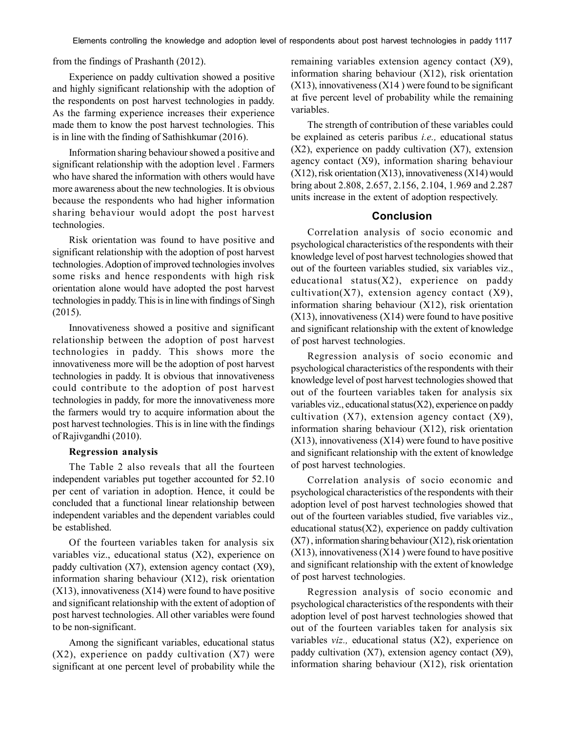from the findings of Prashanth (2012).

Experience on paddy cultivation showed a positive and highly significant relationship with the adoption of the respondents on post harvest technologies in paddy. As the farming experience increases their experience made them to know the post harvest technologies. This is in line with the finding of Sathishkumar (2016).

Information sharing behaviour showed a positive and significant relationship with the adoption level . Farmers who have shared the information with others would have more awareness about the new technologies. It is obvious because the respondents who had higher information sharing behaviour would adopt the post harvest technologies.

Risk orientation was found to have positive and significant relationship with the adoption of post harvest technologies. Adoption of improved technologies involves some risks and hence respondents with high risk orientation alone would have adopted the post harvest technologies in paddy. This is in line with findings of Singh (2015).

Innovativeness showed a positive and significant relationship between the adoption of post harvest technologies in paddy. This shows more the innovativeness more will be the adoption of post harvest technologies in paddy. It is obvious that innovativeness could contribute to the adoption of post harvest technologies in paddy, for more the innovativeness more the farmers would try to acquire information about the post harvest technologies. This is in line with the findings of Rajivgandhi (2010).

#### **Regression analysis**

The Table 2 also reveals that all the fourteen independent variables put together accounted for 52.10 per cent of variation in adoption. Hence, it could be concluded that a functional linear relationship between independent variables and the dependent variables could be established.

Of the fourteen variables taken for analysis six variables viz., educational status (X2), experience on paddy cultivation  $(X7)$ , extension agency contact  $(X9)$ , information sharing behaviour (X12), risk orientation  $(X13)$ , innovativeness  $(X14)$  were found to have positive and significant relationship with the extent of adoption of post harvest technologies. All other variables were found to be non-significant.

Among the significant variables, educational status (X2), experience on paddy cultivation (X7) were significant at one percent level of probability while the remaining variables extension agency contact (X9), information sharing behaviour (X12), risk orientation  $(X13)$ , innovativeness  $(X14)$  were found to be significant at five percent level of probability while the remaining variables.

The strength of contribution of these variables could be explained as ceteris paribus *i.e.,* educational status (X2), experience on paddy cultivation (X7), extension agency contact (X9), information sharing behaviour  $(X12)$ , risk orientation  $(X13)$ , innovativeness  $(X14)$  would bring about 2.808, 2.657, 2.156, 2.104, 1.969 and 2.287 units increase in the extent of adoption respectively.

# **Conclusion**

Correlation analysis of socio economic and psychological characteristics of the respondents with their knowledge level of post harvest technologies showed that out of the fourteen variables studied, six variables viz., educational status(X2), experience on paddy cultivation( $X7$ ), extension agency contact  $(X9)$ , information sharing behaviour (X12), risk orientation  $(X13)$ , innovativeness  $(X14)$  were found to have positive and significant relationship with the extent of knowledge of post harvest technologies.

Regression analysis of socio economic and psychological characteristics of the respondents with their knowledge level of post harvest technologies showed that out of the fourteen variables taken for analysis six variables viz., educational status(X2), experience on paddy cultivation  $(X7)$ , extension agency contact  $(X9)$ , information sharing behaviour (X12), risk orientation  $(X13)$ , innovativeness  $(X14)$  were found to have positive and significant relationship with the extent of knowledge of post harvest technologies.

Correlation analysis of socio economic and psychological characteristics of the respondents with their adoption level of post harvest technologies showed that out of the fourteen variables studied, five variables viz., educational status $(X2)$ , experience on paddy cultivation (X7) , information sharing behaviour (X12), risk orientation  $(X13)$ , innovativeness  $(X14)$  were found to have positive and significant relationship with the extent of knowledge of post harvest technologies.

Regression analysis of socio economic and psychological characteristics of the respondents with their adoption level of post harvest technologies showed that out of the fourteen variables taken for analysis six variables *viz.,* educational status (X2), experience on paddy cultivation (X7), extension agency contact (X9), information sharing behaviour (X12), risk orientation